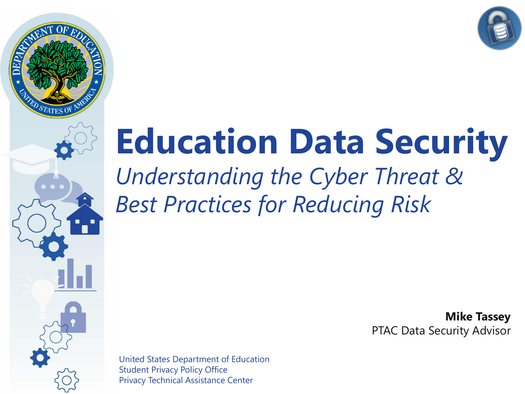

**2** Privacy Technical Assistance Center United States Department of Education Student Privacy Policy Office

## **Education Data Security**

*Understanding the Cyber Threat & Best Practices for Reducing Risk*

> **Mike Tassey** PTAC Data Security Advisor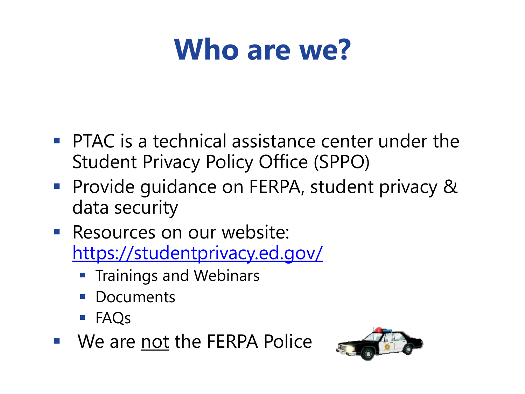### **Who are we?**

- $\blacksquare$  PTAC is a technical assistance center under the Student Privacy Policy Office (SPPO)
- Provide guidance on FERPA, student privacy & data security
- Resources on our website: <https://studentprivacy.ed.gov/>
	- **Trainings and Webinars**
	- **Documents**
	- FAQs
- We are not the FERPA Police

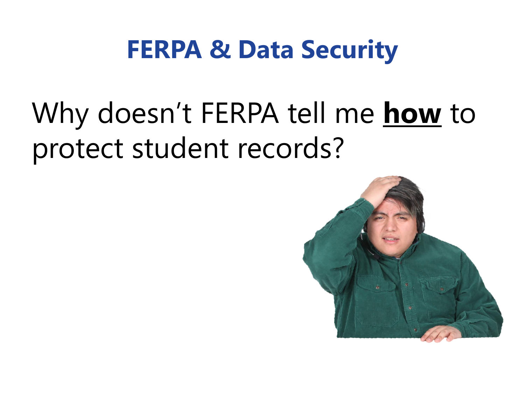### Why doesn't FERPA tell me **how** to protect student records?

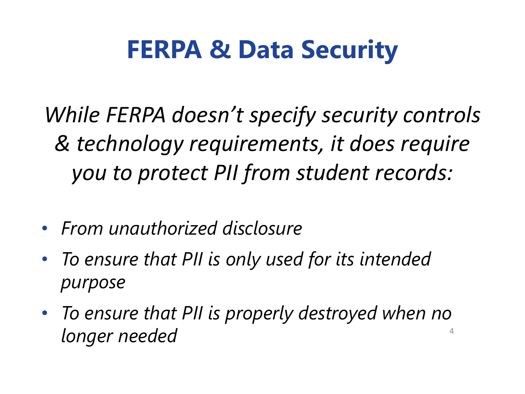*While FERPA doesn't specify security controls & technology requirements, it does require you to protect PII from student records:*

- *From unauthorized disclosure*
- *To ensure that PII is only used for its intended purpose*
- *To ensure that PII is properly destroyed when no longer needed*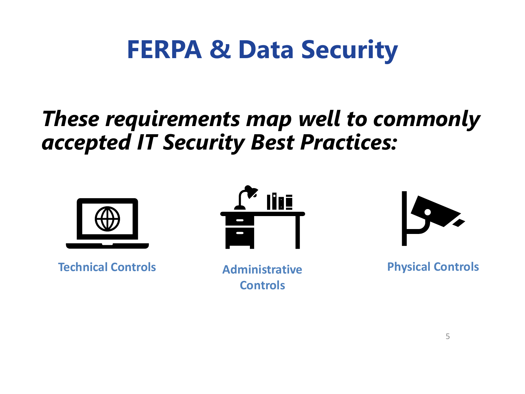#### *These requirements map well to commonly accepted IT Security Best Practices:*



**Technical Controls Administrative** 



**Controls**



**Physical Controls**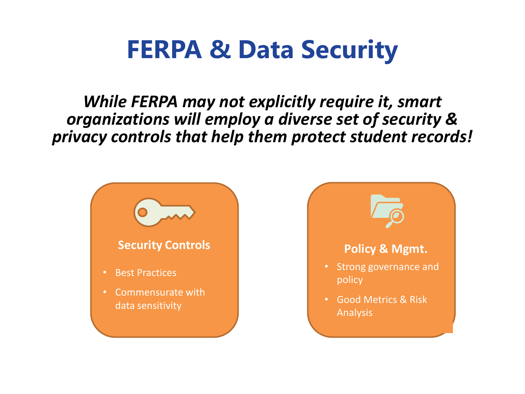*While FERPA may not explicitly require it, smart organizations will employ a diverse set of security & privacy controls that help them protect student records!*

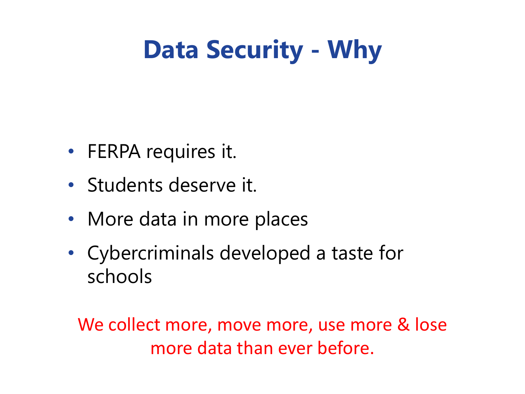#### **Data Security - Why**

- FERPA requires it.
- Students deserve it.
- More data in more places
- Cybercriminals developed a taste for schools

We collect more, move more, use more & lose more data than ever before.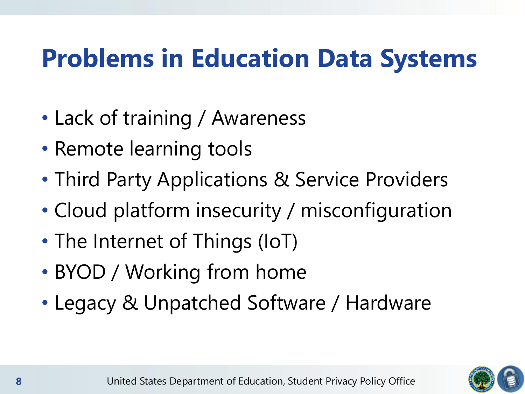#### **Problems in Education Data Systems**

- Lack of training / Awareness
- Remote learning tools
- Third Party Applications & Service Providers
- Cloud platform insecurity / misconfiguration
- The Internet of Things (IoT)
- BYOD / Working from home
- Legacy & Unpatched Software / Hardware

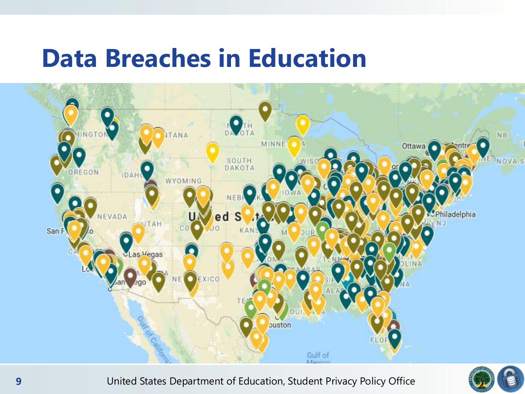#### **Data Breaches in Education**



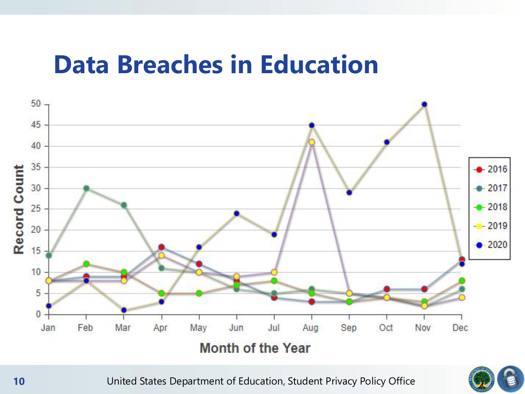#### **Data Breaches in Education**



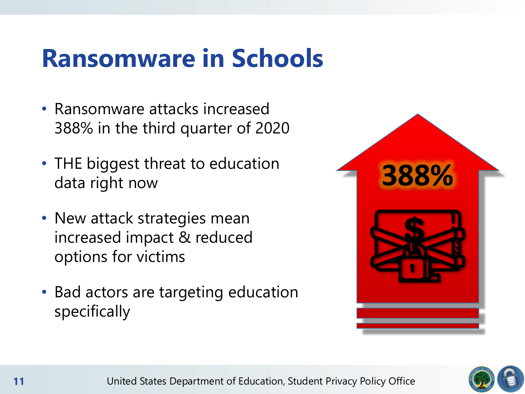#### **Ransomware in Schools**

- Ransomware attacks increased 388% in the third quarter of 2020
- THE biggest threat to education data right now
- New attack strategies mean increased impact & reduced options for victims
- Bad actors are targeting education specifically



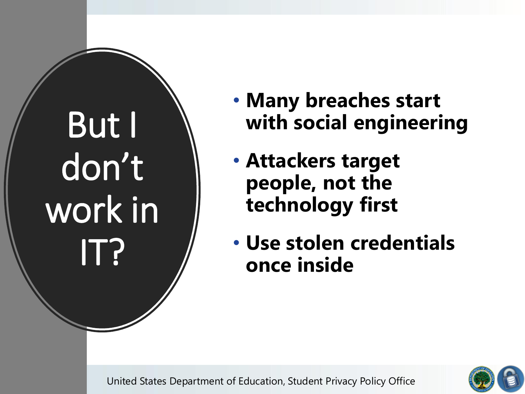# But I don't work in IT?

- **Many breaches start with social engineering**
- **Attackers target people, not the technology first**
- **Use stolen credentials once inside**



**<sup>12</sup>** United States Department of Education, Student Privacy Policy Office **2**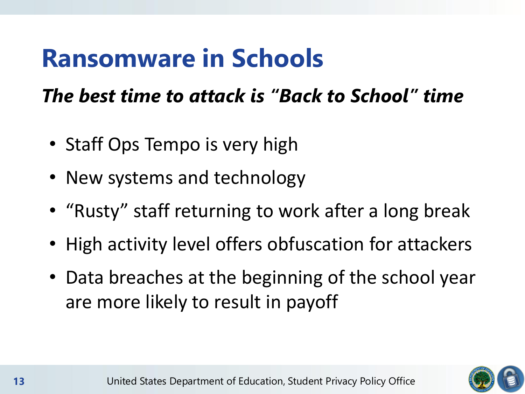#### **Ransomware in Schools**

#### *The best time to attack is "Back to School" time*

- Staff Ops Tempo is very high
- New systems and technology
- "Rusty" staff returning to work after a long break
- High activity level offers obfuscation for attackers
- Data breaches at the beginning of the school year are more likely to result in payoff

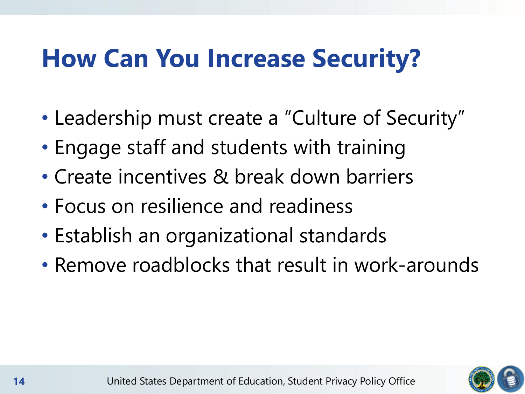#### **How Can You Increase Security?**

- Leadership must create a "Culture of Security"
- Engage staff and students with training
- Create incentives & break down barriers
- Focus on resilience and readiness
- Establish an organizational standards
- Remove roadblocks that result in work-arounds

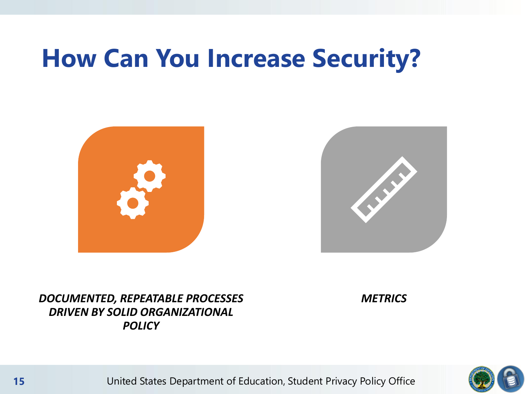#### **How Can You Increase Security?**





#### *DOCUMENTED, REPEATABLE PROCESSES DRIVEN BY SOLID ORGANIZATIONAL POLICY*

*METRICS*



**<sup>15</sup>** United States Department of Education, Student Privacy Policy Office **2**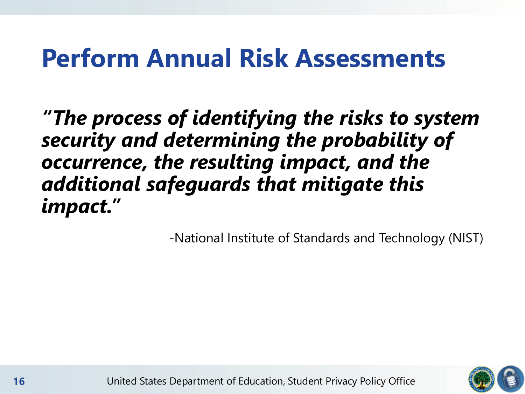#### **Perform Annual Risk Assessments**

*"The process of identifying the risks to system security and determining the probability of occurrence, the resulting impact, and the additional safeguards that mitigate this impact."* 

-National Institute of Standards and Technology (NIST)

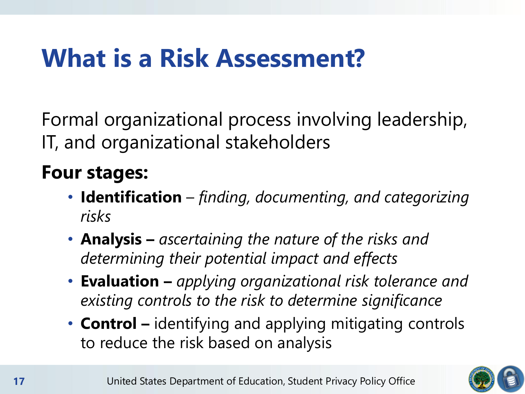#### **What is a Risk Assessment?**

Formal organizational process involving leadership, IT, and organizational stakeholders

#### **Four stages:**

- **Identification** *finding, documenting, and categorizing risks*
- **Analysis –** *ascertaining the nature of the risks and determining their potential impact and effects*
- **Evaluation –** *applying organizational risk tolerance and existing controls to the risk to determine significance*
- **Control –** identifying and applying mitigating controls to reduce the risk based on analysis

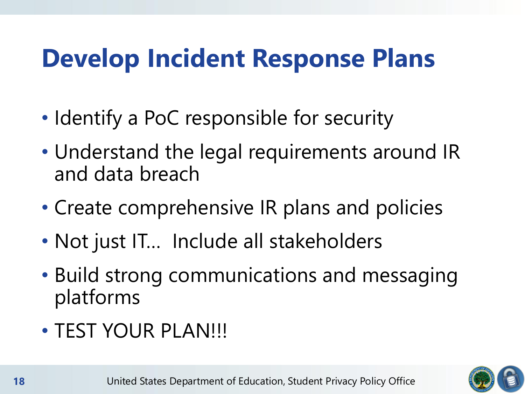#### **Develop Incident Response Plans**

- Identify a PoC responsible for security
- Understand the legal requirements around IR and data breach
- Create comprehensive IR plans and policies
- Not just IT… Include all stakeholders
- Build strong communications and messaging platforms
- TEST YOUR PLAN!!!

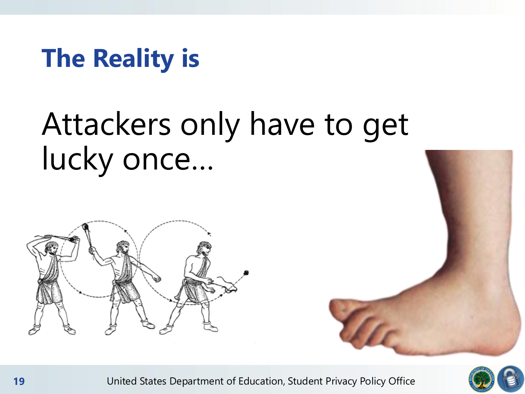#### **The Reality is**

### Attackers only have to get lucky once…







**<sup>19</sup>** United States Department of Education, Student Privacy Policy Office **2**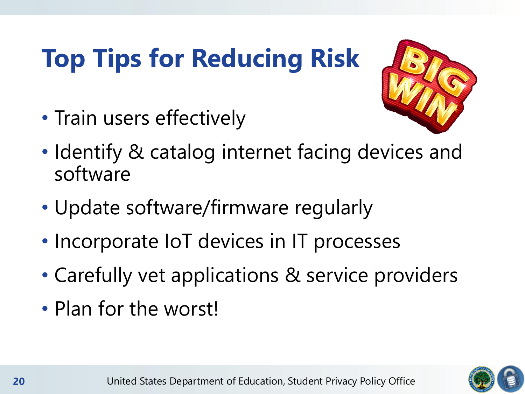### **Top Tips for Reducing Risk**



- Train users effectively
- Identify & catalog internet facing devices and software
- Update software/firmware regularly
- Incorporate IoT devices in IT processes
- Carefully vet applications & service providers
- Plan for the worst!